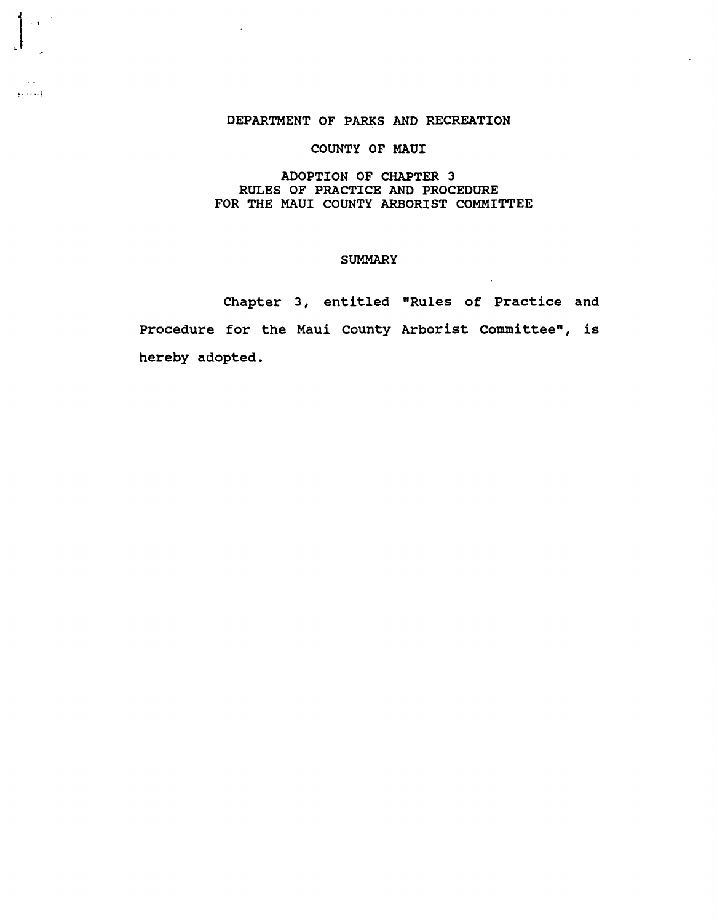### DEPARTMENT OF PARKS AND RECREATION

 $\frac{1}{2}$  (  $\frac{1}{2}$ 

 $\cdot^{\dagger}$ 

الأستنبو

# COUNTY OF MAUl

## ADOPTION OF CHAPTER 3 RULES OF PRACTICE AND PROCEDURE FOR THE MAUI COUNTY ARBORIST COMMITTEE

### SUMMARY

Chapter 3, entitled "Rules of Practice and Procedure for the Maui county Arborist committee", is hereby adopted.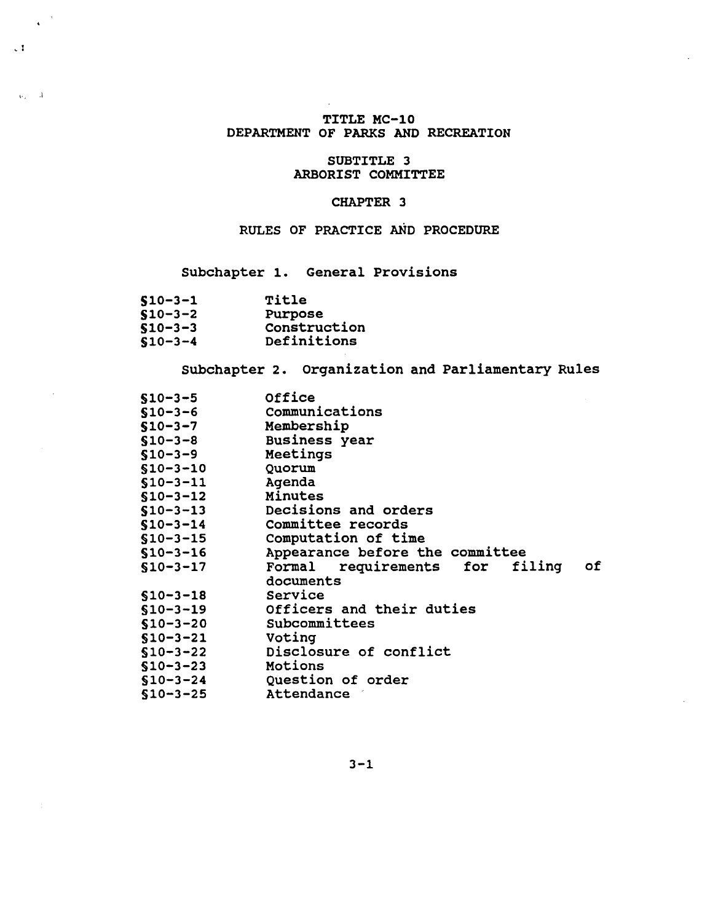# TITLE MC-10 DEPARTMENT OF PARKS AND RECREATION

## SUBTITLE 3 ARBORIST COMMITTEE

# CHAPTER 3

# RULES OF PRACTICE AND PROCEDURE

# Subchapter 1. General Provisions

| $$10 - 3 - 1$ | Title        |
|---------------|--------------|
| $$10 - 3 - 2$ | Purpose      |
| $$10 - 3 - 3$ | Construction |
| $$10 - 3 - 4$ | Definitions  |

 $\frac{1}{\sqrt{1-\frac{1}{2}}}$ 

 $\chi_{\rm tot} = 3^\circ$ 

# Subchapter 2. Organization and Parliamentary Rules

| $$10 - 3 - 5$  | Office                                     |
|----------------|--------------------------------------------|
| $$10 - 3 - 6$  | Communications                             |
| $$10-3-7$      | Membership                                 |
| $$10 - 3 - 8$  | <b>Business</b> year                       |
| $$10-3-9$      | Meetings                                   |
| $$10 - 3 - 10$ | Quorum                                     |
| $$10 - 3 - 11$ | Agenda                                     |
| $$10 - 3 - 12$ | Minutes                                    |
| $$10 - 3 - 13$ | Decisions and orders                       |
| $$10 - 3 - 14$ | Committee records                          |
| $$10 - 3 - 15$ | Computation of time                        |
|                | Appearance before the committee            |
| $$10 - 3 - 16$ |                                            |
| $$10 - 3 - 17$ | requirements for<br>filing<br>Formal<br>оf |
|                | documents                                  |
| $$10 - 3 - 18$ | Service                                    |
| $$10 - 3 - 19$ | Officers and their duties                  |
| $$10 - 3 - 20$ | Subcommittees                              |
| $$10 - 3 - 21$ | Voting                                     |
| $$10 - 3 - 22$ | Disclosure of conflict                     |
| $$10 - 3 - 23$ | Motions                                    |
| $$10 - 3 - 24$ | Question of order                          |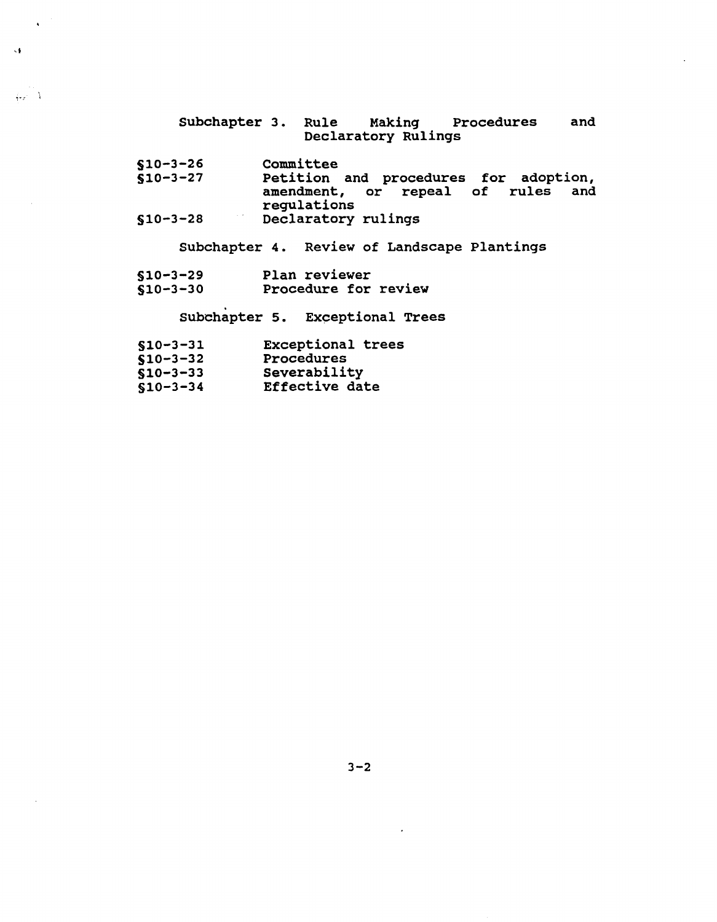- Subchapter 3. Rule Making Procedures and Declaratory RUlings
- $$10-3-26$ committee

 $\sqrt{2}$ 

 $\mathcal{A}$ 

 $\frac{1}{2}$ 

- $$10-3-27$ Petition and procedures for adoption, amendment, or repeal of rules and regulations
- $$10-3-28$ Declaratory rulings

Subchapter 4. Review of Landscape plantings

510-3-29  $$10-3-30$ Plan reviewer Procedure for review

Subchapter 5. Exceptional Trees

| $$10 - 3 - 31$ | <b>Exceptional trees</b> |  |
|----------------|--------------------------|--|
|                |                          |  |

S10-3-32 Procedures

| $$10 - 3 - 33$ | Severability |
|----------------|--------------|

 $$10-3-34$ Effective date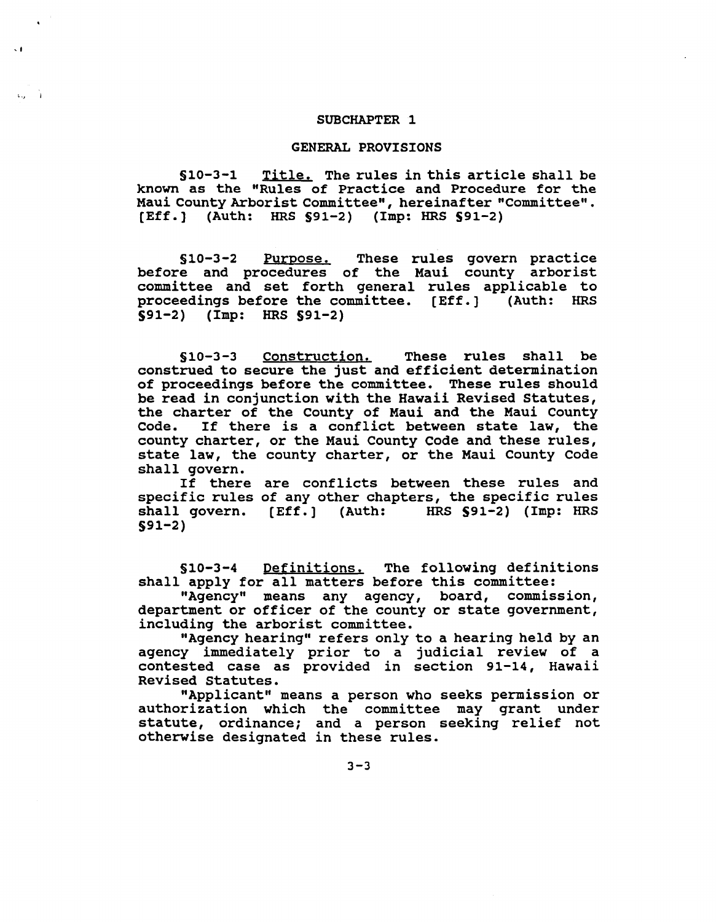#### SUBCHAPTER 1

 $\ddot{\phantom{1}}$ 

su à

#### GENERAL PROVISIONS

§10-3-1 Title. The rules in this article shall be known as the "Rules of Practice and Procedure for the Maui County Arborist Committee", hereinafter "Committee". [Eff.] (Auth: HRS S91-2) (Imp: HRS 591-2)

§10-3-2 Purpose. These rules govern practice before and procedures of the Maui county arborist committee and set forth general rules applicable to proceedings before the committee. [Eff.] (Auth: HRS 591-2) (Imp: HRS §91-2)

§10-3-3 Construction. These rules shall be construed to secure the just and efficient determination of proceedings before the committee. These rules should be read in conjunction with the Hawaii Revised Statutes, the charter of the County of Maui and the Maui County Code. If there is a conflict between state law, the If there is a conflict between state law, the county charter, or the Maui County Code and these rules, state law, the county charter, or the Maui County Code shall govern.

If there are conflicts between these rules and specific rules of any other chapters, the specific rules  $HRS$   $S91-2$ ) (Imp: HRS shall govern. [Eff.] (Auth: 591-2)

§10-3-4 Definitions. The following definitions shall apply for all matters before this committee:

"Agency" means any agency, board, commission, department or officer of the county or state government, inclUding the arborist committee.

"Agency hearing" refers only to a hearing held by an agency immediately prior to a judicial review of a contested case as provided in section 91-14, Hawaii Revised Statutes.

"Applicant" means a person who seeks permission or authorization which the committee may grant under statute, ordinance; and <sup>a</sup> person seeking relief not otherwise designated in these rules.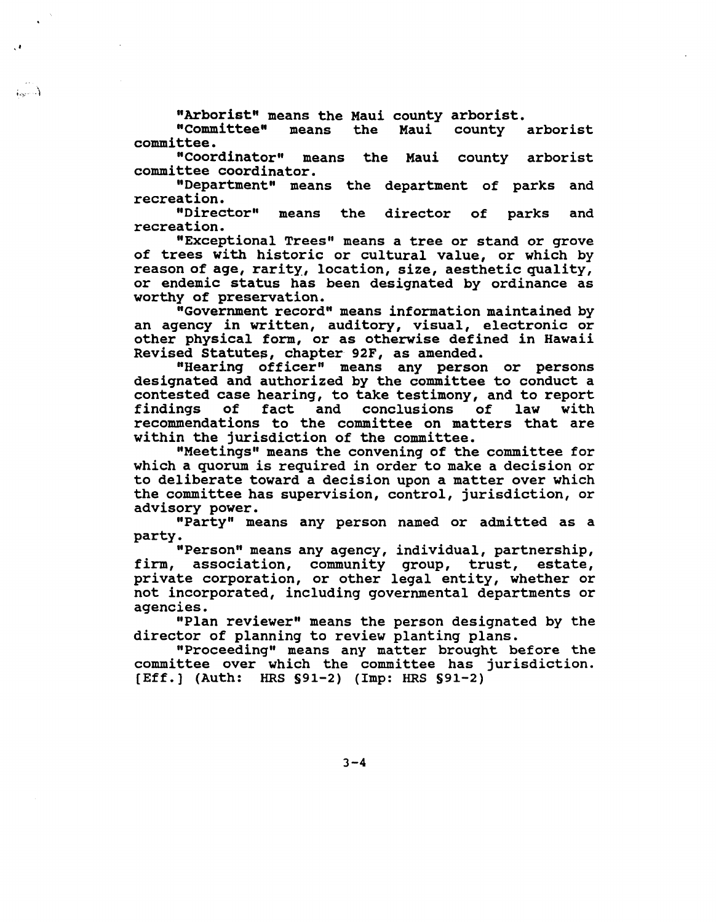"Arborist" means the Maui county arborist.<br>"Committee" means the Maui county

.'

 $(1, 2, 3)$ 

county arborist committee.

"Coordinator" means the Maui county arborist committee coordinator.

"Department" means the department of parks and recreation.<br>"Director"

means the director of parks and recreation.

"Exceptional Trees" means a tree or stand or grove of trees with historic or cultural value, or which by reason of age, rarity, location, size, aesthetic quality, or endemic status has been designated by ordinance as worthy of preservation.

"Government record" means information maintained by an agency in written, auditory, visual, electronic or other physical form, or as otherwise defined in Hawaii Revised Statutes, chapter 92F, as amended.

"Hearing officer" means any person or persons designated and authorized by the committee to conduct a contested case hearing, to take testimony, and to report and conclusions recommendations to the committee on matters that are within the jurisdiction of the committee.

"Meetings" means the convening of the committee for which a quorum is required in order to make a decision or to deliberate toward a decision upon a matter over which the committee has supervision, control, jurisdiction, or advisory power.

"Party" means any person named or admitted as a party.

"Person" means any agency, individual, partnership, firm, association, community group, trust, estate, private corporation, or other legal entity, whether or not incorporated, inclUding governmental departments or agencies.

"Plan reviewer" means the person designated by the director of planning to review planting plans.

"Proceeding" means any matter brought before the committee over which the committee has jurisdiction. [Eff.] (Auth: HRS §91-2) (Imp: HRS §91-2)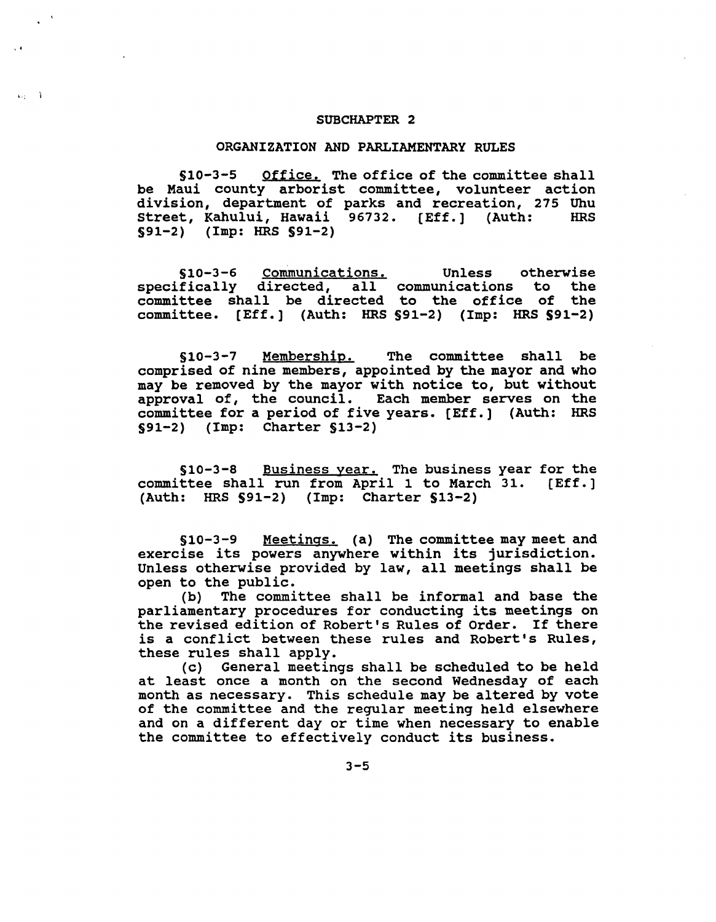#### SUBCHAPTER 2

, .

 $4x - 3$ 

### ORGANIZATION AND PARLIAMENTARY RULES

510-3-5 Office. The office of the committee shall be Maui county arborist committee, volunteer action division, department of parks and recreation, 275 Uhu<br>Street, Kahului, Hawaii 96732. [Eff.] (Auth: HRS Street, Kahului, Hawaii 96732. [Eff.] (Auth: §91-2) (Imp: HRS 591-2)

510-3-6 Communications. specifically directed, all communications to the committee shall be directed to the office of the committee. [Eff. ] (Auth: HRS §91-2) (Imp: HRS 591-2) Unless otherwise<br>nications to the

§10-3-7 Membership. The committee shall be comprised of nine members, appointed by the mayor and who may be removed by the mayor with notice to, but without approval of, the council. Each member serves on the committee for a period of five years. [Eff.] (Auth: HRS §91-2) (Imp: Charter §13-2)

§10-3-8 Business year. The business year for the committee shall run from April 1 to March 31. [Eff.] (Auth: HRS 591-2) (Imp: Charter 513-2)

§10-3-9 Meetings. (a) The committee may meet and exercise its powers anywhere within its jurisdiction. Unless otherwise provided by law, all meetings shall be open to the pUblic.

(b) The committee shall be informal and base the parliamentary procedures for conducting its meetings on the revised edition of Robert's Rules of Order. If there is <sup>a</sup> conflict between these rules and Robert's Rules, these rules shall apply.

(c) General meetings shall be scheduled to be held at least once <sup>a</sup> month on the second Wednesday of each month as necessary. This schedule may be altered by vote of the committee and the regular meeting held elsewhere and on a different day or time when necessary to enable the committee to effectively conduct its business.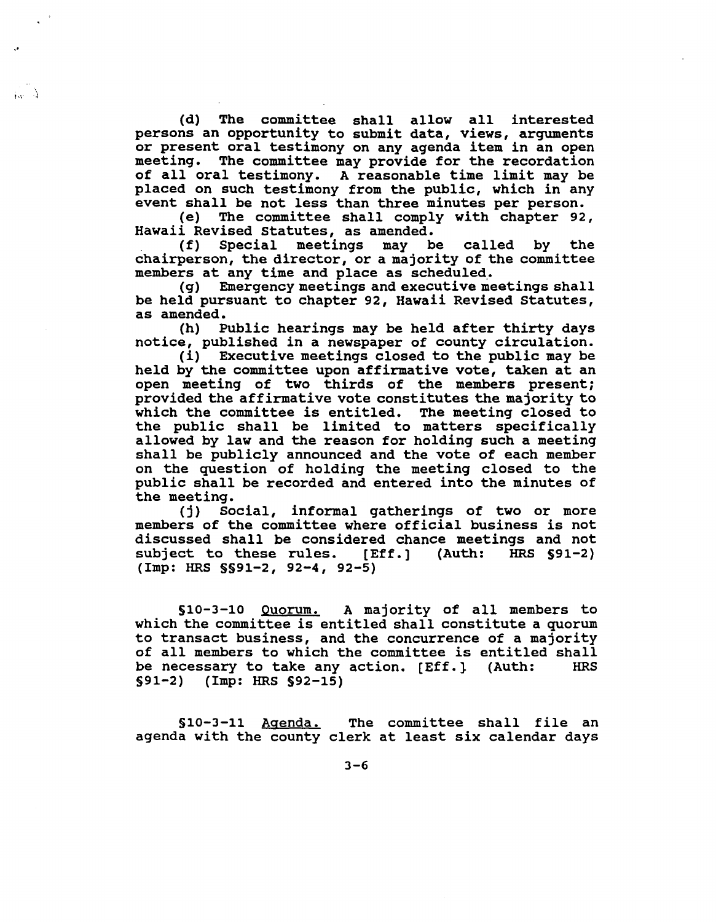(d) The committee shall allow all interested persons an opportunity to submit data, views, arguments or present oral testimony on any agenda item in an open meeting. The committee may provide for the recordation of all oral testimony. <sup>A</sup> reasonable time limit may be placed on such testimony from the pUblic, which in any event shall be not less than three minutes per person.<br>(e) The committee shall comply with chapter 92

"

 $\mathbf{h} = \mathbf{h}$ 

(e) The committee shall comply with chapter 92,

 $(f)$  Special meetings may be called by the chairperson, the director, or a majority of the committee members at any time and place as scheduled.<br>(g) Emergency meetings and executive me

Emergency meetings and executive meetings shall be held pursuant to chapter 92, Hawaii Revised Statutes, as amended.

(h) Public hearings may be held after thirty days notice, published in a newspaper of county circulation.

(i) Executive meetings closed to the public may be held by the committee upon affirmative vote, taken at an open meeting of two thirds of the members present; provided the affirmative vote constitutes the majority to which the committee is entitled. The meeting closed to the public shall be limited to matters specifically allowed by law and the reason for holding such a meeting shall be publicly announced and the vote of each member on the question of holding the meeting closed to the public shall be recorded and entered into the minutes of the meeting.

(j) Social, informal gatherings of two or more members of the committee where official business is not discussed shall be considered chance meetings and not SUbject to these rules. [Eff.] (Auth: HRS §91-2) (Imp: HRS §§91-2, 92-4, 92-5)

§10-3-10 Quorum. <sup>A</sup> majority of all members to which the committee is entitled shall constitute a quorum to transact business, and the concurrence of a majority of all members to which the committee is entitled shall<br>be necessary to take any action. [Eff.] (Auth: HRS be necessary to take any action. [Eff.] (Auth: §91-2) (Imp: HRS §92-15)

§10-3-11 Agenda. The committee shall file an agenda with the county clerk at least six calendar days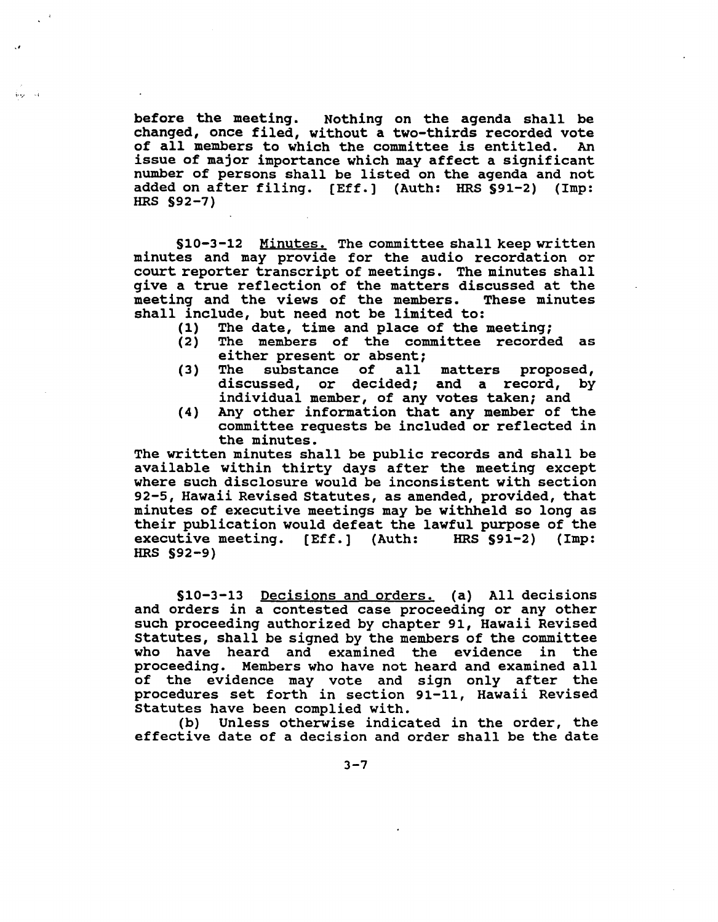before the meeting. Nothing on the agenda shall be changed, once filed, without a two-thirds recorded vote<br>of all members to which the committee is entitled. An of all members to which the committee is entitled. issue of major importance which may affect <sup>a</sup> significant number of persons shall be listed on the agenda and not added on after filing. [Eff.] (Auth: HRS \$91-2) (Imp: added on after filing. [Eff.] (Auth: HRS §91-2) HRS §92-7)

.,

i·°j' -·i

§10-3-12 Minutes. The committee shall keep written minutes and may provide for the audio recordation or court reporter transcript of meetings. The minutes shall give a true reflection of the matters discussed at the meeting and the views of the members. These minutes meeting and the views of the members. shall include, but need not be limited to:<br>(1) The date, time and place of the  $\frac{1}{2}$ 

- (1) The date, time and place of the meeting;<br>(2) The members of the committee recorde
- The members of the committee recorded as either present or absent;<br>The substance of all
- (3) The substance of all matters proposed,<br>discussed, or decided: and a record, by discussed, or decided; and a record, individual member, of any votes taken; and
- (4) Any other information that any member of the committee requests be included or reflected in the minutes.

The written minutes shall be public records and shall be available within thirty days after the meeting except where such disclosure would be inconsistent with section 92-5, Hawaii Revised statutes, as amended, provided, that minutes of executive meetings may be withheld so long as their publication would defeat the lawful purpose of the executive meeting. [Eff.] (Auth: HRS §91-2) (Imp: executive meeting. [Eff.] (Auth: HRS §92-9)

§10-3-13 Decisions and orders. (a) All decisions and orders in a contested case proceeding or any other such proceeding authorized by chapter 91, Hawaii Revised statutes, shall be signed by the members of the committee who have heard and examined the evidence in the proceeding. Members who have not heard and examined all of the evidence may vote and sign only after the procedures set forth in section 91-11, Hawaii Revised statutes have been complied with.

(b) Unless otherwise indicated in the order, the effective date of <sup>a</sup> decision and order shall be the date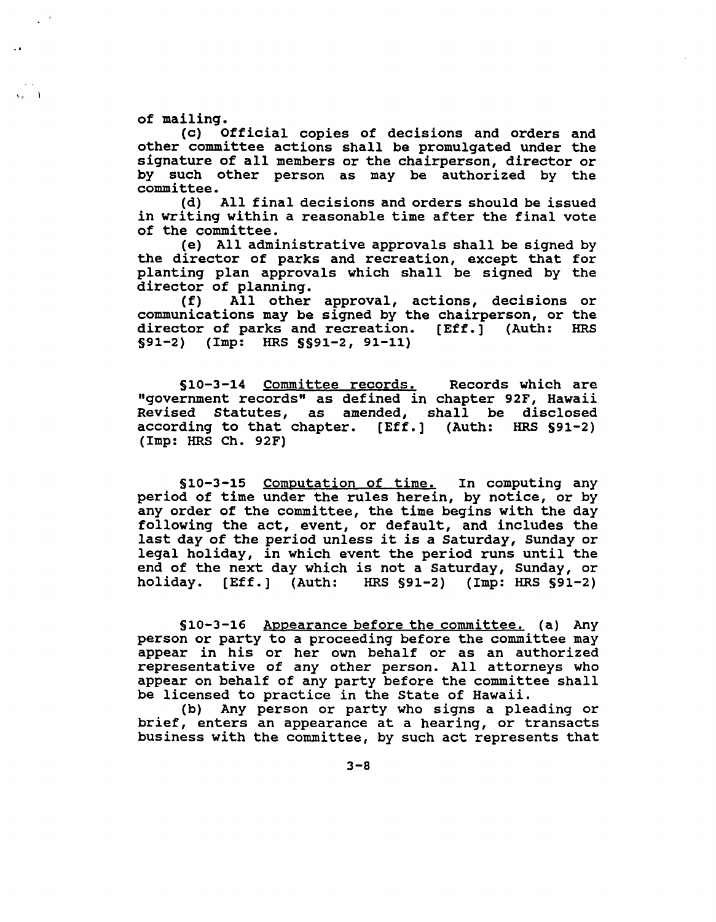of mailing.<br>(c) 0

Official copies of decisions and orders and other committee actions shall be promulgated under the signature of all members or the chairperson, director or by such other person as may be authorized by the committee.

(d) All final decisions and orders should be issued in writing within <sup>a</sup> reasonable time after the final vote of the committee.

(e) All administrative approvals shall be signed by the director of parks and recreation, except that for planting plan approvals which shall be signed by the

director of planning.<br>(f) All other All other approval, actions, decisions or communications may be signed by the chairperson, or the director of parks and recreation. [Eff.] (Auth: HRS director of parks and recreation.  $[Eff.]$  (Auth: §91-2) (Imp: HRS §§91-2, 91-11)

§10-3-14 Committee records. Records which are "government records" as defined in chapter 92F, Hawaii Revised statutes, as amended, shall be disclosed according to that chapter. [Eff.] (Auth: HRS §91-2) (Imp: HRS Ch. 92F)

§10-3-15 Computation of time. In computing any period of time under the rules herein, by notice, or by any order of the committee, the time begins with the day following the act, event, or default, and includes the last day of the period unless it is <sup>a</sup> Saturday, Sunday or legal holiday, in Which event the period runs until the end of the next day which is not <sup>a</sup> Saturday, Sunday, or holiday. [Eff.] (Auth: HRS §91-2) (Imp: HRS §91-2)

§10-3-16 Appearance before the committee. (a) Any person or party to a proceeding before the committee may appear in his or her own behalf or as an authorized representative of any other person. All attorneys who appear on behalf of any party before the committee shall be licensed to practice in the State of Hawaii.

(b) Any person or party who signs a pleading or brief, enters an appearance at <sup>a</sup> hearing, or transacts business with the committee, by such act represents that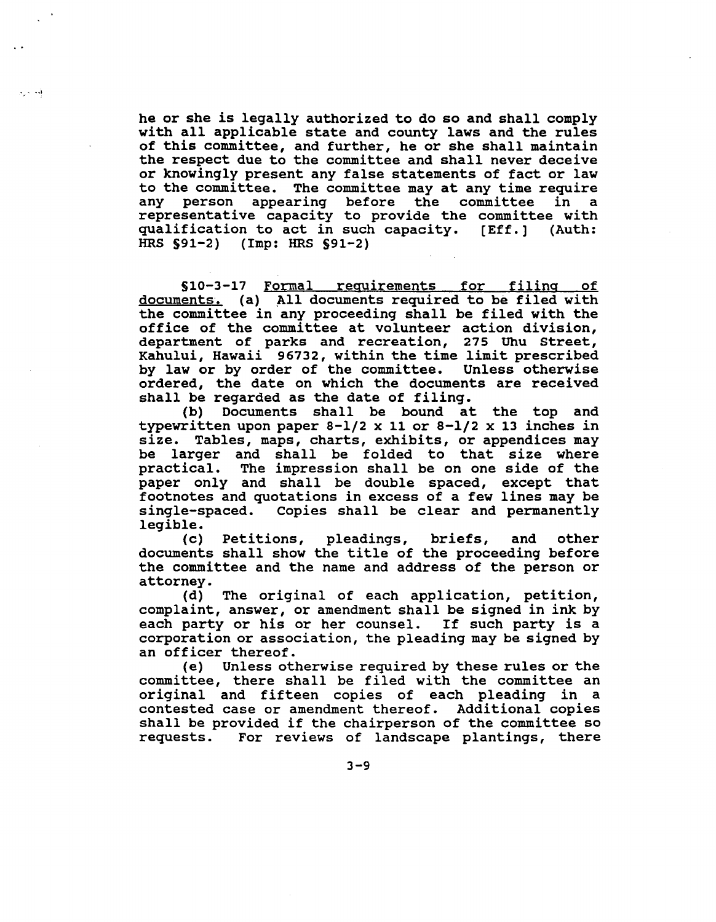he or she is legally authorized to do so and shall comply with all applicable state and county laws and the rules of this committee, and further, he or she shall maintain the respect due to the committee and shall never deceive or knowingly present any false statements of fact or law to the committee. The committee may at any time require appearing before the committee representative capacity to provide the committee with<br>qualification to act in such capacity. [Eff.] (Auth: qualification to act in such capacity.  $[Eff.]$ HRS §91-2) (Imp: HRS S91-2)

..,

S10-3-17 FOrmal requirements for filing of documents. (a) All documents required to be filed with the committee in any proceeding shall be filed with the office of the committee at volunteer action division, department of parks and recreation, 275 Uhu street, Kahului, Hawaii 96732, within the time limit prescribed by law or by order of the committee. Unless otherwise ordered, the date on which the documents are received shall be regarded as the date of filing.<br>(b) Documents shall be bound at

Documents shall be bound at the top and typewritten upon paper 8-1/2 x 11 or 8-1/2 x 13 inches in size. Tables, maps, charts, exhibits, or appendices may be larger and shall be folded to that size where<br>practical. The impression shall be on one side of the The impression shall be on one side of the paper only and shall be double spaced, except that footnotes and quotations in excess of a few lines may be single-spaced. Copies shall be clear and permanently legible.

(c) Petitions, pleadings, briefs, and other documents shall show the title of the proceeding before the committee and the name and address of the person or attorney.

(d) The original of each application, petition, complaint, answer, or amendment shall be signed in ink by each party or his or her counsel. If such party is <sup>a</sup> corporation or association, the pleading may be signed by an officer thereof.

(e) Unless otherwise required by these rules or the committee, there shall be filed with the committee an original and fifteen copies of each pleading in a contested case or amendment thereof. Additional copies shall be provided if the chairperson of the committee so<br>requests. For reviews of landscape plantings, there For reviews of landscape plantings, there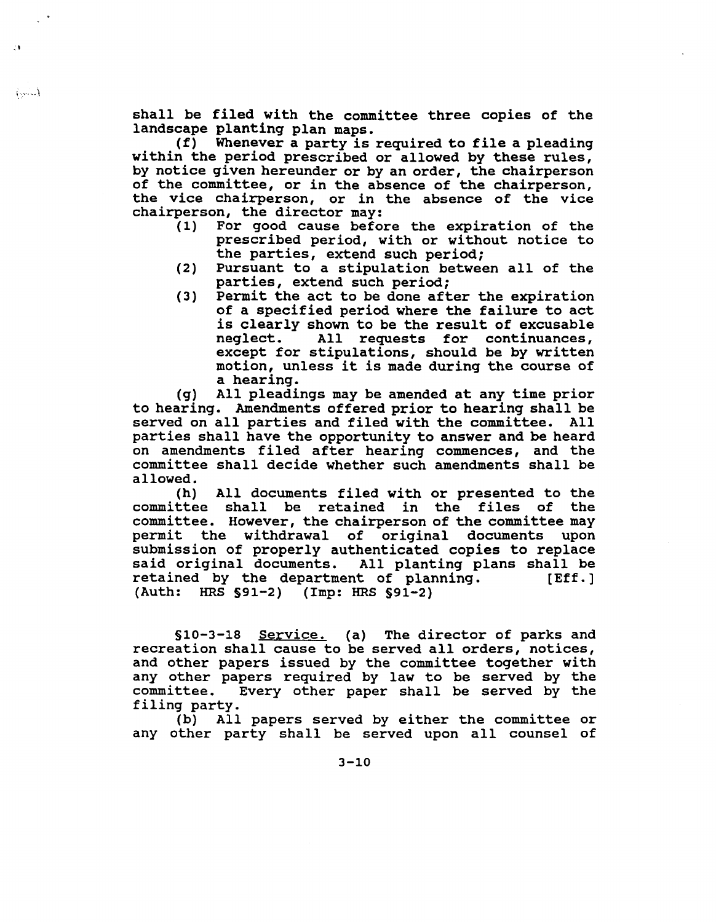shall be filed with the committee three copies of the landscape planting plan maps.

;1

 $(3.1)$ 

(f) Whenever <sup>a</sup> party is required to file <sup>a</sup> pleading within the period prescribed or allowed by these rules, by notice given hereunder or by an order, the chairperson of the committee, or in the absence of the chairperson, the vice chairperson, or in the absence of the vice chairperson, the director may:

- For good cause before the expiration of the prescribed period, with or without notice to the parties, extend such period;
- (2) Pursuant to <sup>a</sup> stipulation between all of the parties, extend such period;
- (3) Permit the act to be done after the expiration of a specified period where the failure to act is clearly shown to be the result of excusable<br>neglect. All requests for continuances, All requests for continuances, except for stipulations, should be by written motion, unless it is made during the course of a hearing.

(g) All pleadings may be amended at any time prior to hearing. Amendments offered prior to hearing shall be served on all parties and filed with the committee. All parties shall have the opportunity to answer and be heard on amendments filed after hearing commences, and the committee shall decide whether such amendments shall be allowed.

(h) All documents filed with or presented to the committee shall be retained in the files of the committee. However, the chairperson of the committee may permit the withdrawal of original documents upon submission of properly authenticated copies to replace said original documents. All planting plans shall be<br>retained by the department of planning. [Eff.] retained by the department of planning. (Auth: HRS §91-2) (Imp: HRS §91-2)

§10-3-18 Service. (a) The director of parks and recreation shall cause to be served all orders, notices, and other papers issued by the committee together with any other papers required by law to be served by the committee. Every other paper shall be served by the filing party.

(b) All papers served by either the committee or any other party shall be served upon all counsel of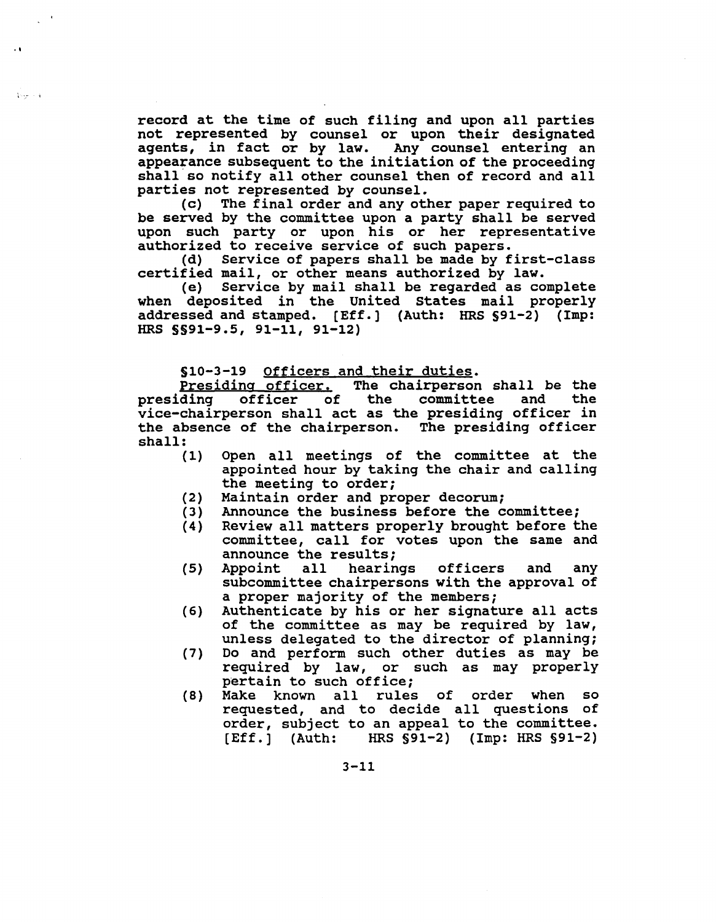record at the time of such filing and upon all parties not represented by counselor upon their designated agents, in fact or by law. Any counsel entering an appearance sUbsequent to the initiation of the proceeding shall so notify all other counsel then of record and all parties not represented by counsel.<br>(c) The final order and any oth

.,

 $1.97 \pm 4$ 

The final order and any other paper required to be served by the committee upon a party shall be served upon such party or upon his or her representative authorized to receive service of such papers.

(d) Service of papers shall be made by first-class certified mail, or other means authorized by law.

*(e)* Service by mail shall be regarded as complete when deposited in the United States mail properly addressed and stamped. [Eff.] (Auth: HRS 591-2) (Imp: HRS 5591-9.5, 91-11, 91-12)

510-3-19 Officers and their duties.

Presiding officer. The chairperson shall be the presiding officer of the committee and the presiding officer of the committee and the<br>vice-chairperson shall act as the presiding officer in the absence of the chairperson. The presiding officer shall:

- Open all meetings of the committee at the appointed hour by taking the chair and calling the meeting to order; (1)
- Maintain order and proper decorum; (2)
- Announce the business before the committee; (3)
- Review all matters properly brought before the committee, call for votes upon the same and announce the results;<br>Appoint all hearings (4)
- officers and any subcommittee chairpersons with the approval of a proper majority of the members; (5)
- Authenticate by his or her signature all acts of the committee as may be required by law, unless delegated to the director of planning; (6)
- Do and perform such other duties as may be required by law, or such as may properly pertain to such office; (7)
- Make known all rules of order when so requested, and to decide all questions of order, SUbject to an appeal to the committee. [Eff.] (Auth: HRS 591-2) (Imp: HRS 591-2) (8)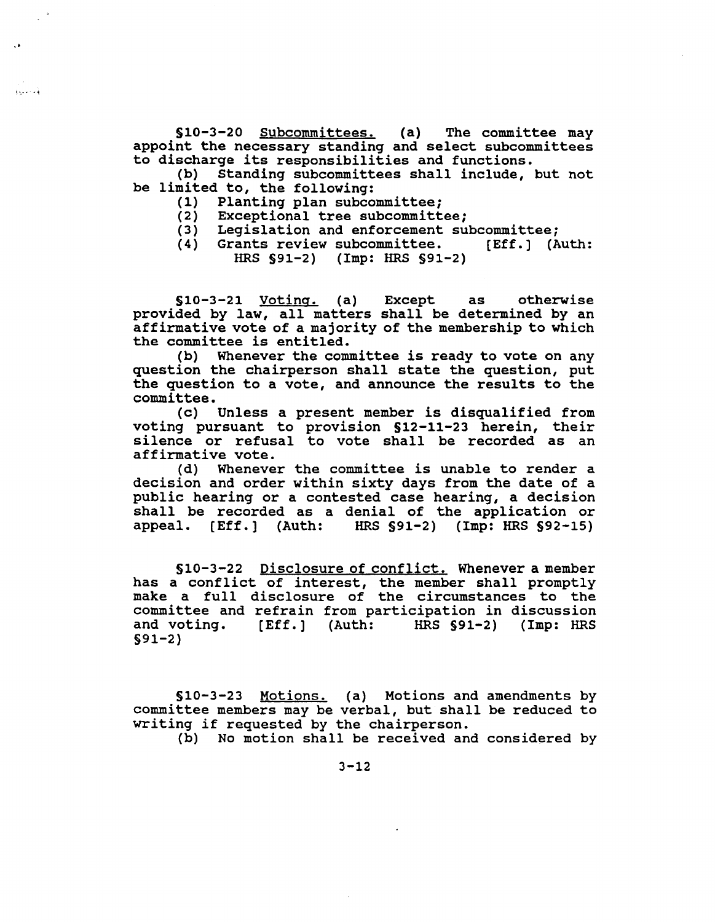§10-3-20 Subcommittees. (a) The committee may appoint the necessary standing and select subcommittees to discharge its responsibilities and functions.<br>(b) Standing subcommittees shall include.

Standing subcommittees shall include, but not be limited to, the following:<br>(1) Planting plan subco

(1) Planting plan subcommittee;<br>(2) Exceptional tree subcommitt

·.

فتتنبذ

- Exceptional tree subcommittee;
- (3) Legislation and enforcement subcommittee;<br>(4) Grants review subcommittee. [Eff.] (Auth:
- (4) Grants review subcommittee. HRS §91-2) (Imp: HRS §91-2)

§10-3-21 Voting. (a) Except as otherwise provided by law, all matters shall be determined by an affirmative vote of a majority of the membership to which the committee is entitled.

(b) Whenever the committee is ready to vote on any question the chairperson shall state the question, put the question to <sup>a</sup> vote, and announce the results to the committee.

(c) Unless <sup>a</sup> present member is disqualified from voting pursuant to provision §12-11-23 herein, their silence or refusal to vote shall be recorded as an affirmative vote.

(d) Whenever the committee is unable to render <sup>a</sup> decision and order within sixty days from the date of a pUblic hearing or a contested case hearing, a decision shall be recorded as a denial of the application or<br>appeal. [Eff.] (Auth: HRS §91-2) (Imp: HRS §92-15)  $HRS$  §91-2) (Imp: HRS §92-15)

§10-3-22 Disclosure of conflict. Whenever a member has a conflict of interest, the member shall promptly make a full disclosure of the circumstances to the committee and refrain from participation in discussion<br>and voting. [Eff.] (Auth: HRS §91-2) (Imp: HRS HRS  $§91-2)$  (Imp: HRS §91-2)

§10-3-23 Motions. (a) Motions and amendments by committee members may be verbal, but shall be reduced to writing if requested by the chairperson.

(b) No motion shall be received and considered by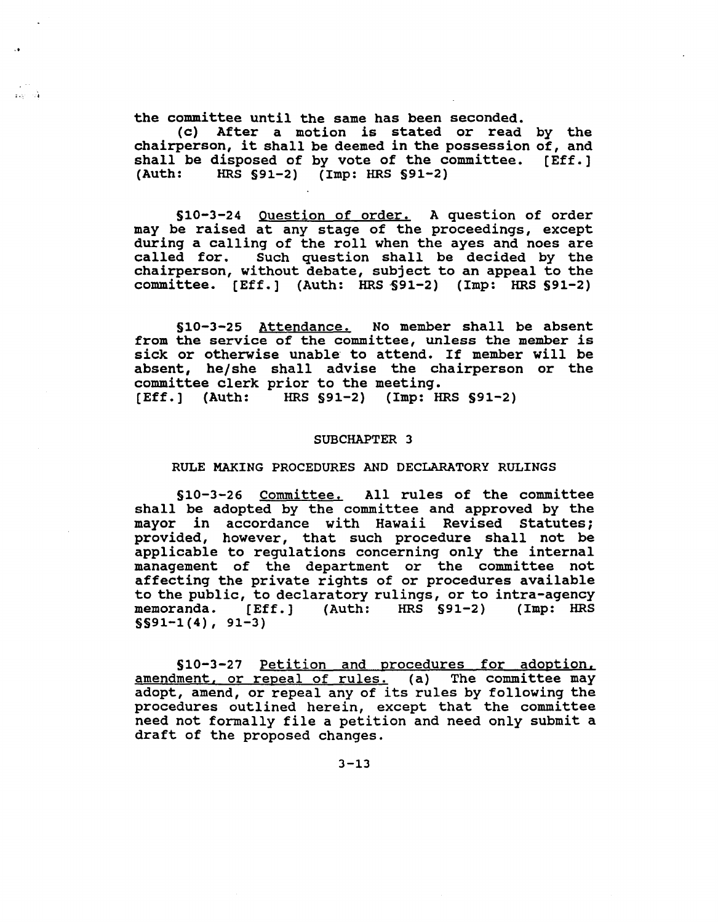the committee until the same has been seconded.

 $\mathbf{r}$  and  $\mathbf{r}$ 

(c) After <sup>a</sup> motion is stated or read by the chairperson, it shall be deemed in the possession of, and shall be disposed of by vote of the committee.  $[Eff.]$ <br>(Auth: HRS  $§91-2)$  (Imp: HRS  $§91-2)$ ) HRS  $\text{S91-2}$  (Imp: HRS  $\text{S91-2}$ )

510-3-24 Question of order. A question of order may be raised at any stage of the proceedings, except during <sup>a</sup> calling of the roll when the ayes and noes are called for. Such question shall be decided by the chairperson, without debate, subject to an appeal to the committee.  $[Eff.]$  (Auth: HRS  $$91-2)$  (Imp: HRS  $$91-2)$ )

510-3-25 Attendance. No member shall be absent from the service of the committee, unless the member is sick or otherwise unable to attend. If member will be absent, he/she shall advise the chairperson or the committee clerk prior to the meeting. [Eff.] (Auth: HRS 591-2) (Imp: HRS 591-2)

#### SUBCHAPTER 3

#### RULE MAKING PROCEDURES AND DECLARATORY RULINGS

510-3-26 Committee. All rules of the committee shall be adopted by the committee and approved by the mayor in accordance with Hawaii Revised statutes; provided, however, that such procedure shall not be applicable to regulations concerning only the internal management of the department or the committee not affecting the private rights of or procedures available to the public, to declaratory rulings, or to intra-agency<br>memoranda. [Eff.] (Auth: HRS §91-2) (Imp: HRS  $HRS$   $$91-2$ ) (Imp: HRS  $S591-1(4)$ , 91-3)

§10-3-27 Petition and procedures for adoption. amendment. or repeal of rules. (a) The committee may adopt, amend, or repeal any of its rules by following the procedures outlined herein, except that the committee need not formally file <sup>a</sup> petition and need only submit <sup>a</sup> draft of the proposed changes.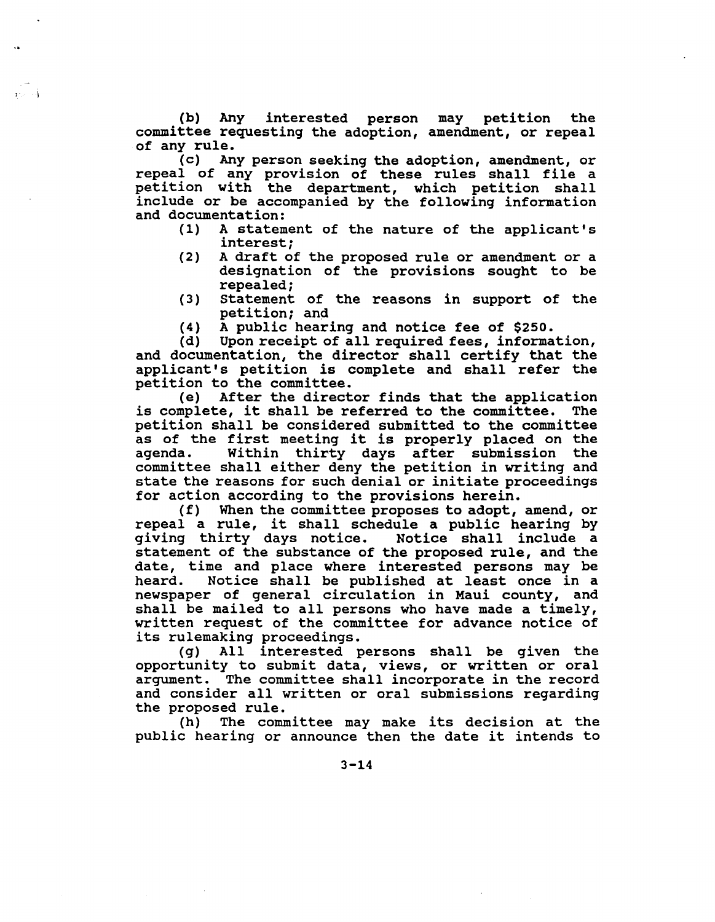(b) Any interested person may petition the committee requesting the adoption, amendment, or repeal of any rule.

 $\mathbf{y}_1, \ldots, \mathbf{y}_k$ 

(c) Any person seeking the adoption, amendment, or repeal of any provision of these rules shall file <sup>a</sup> petition with the department, which petition shall include or be accompanied by the following information and documentation:<br>(1) A statem

- A statement of the nature of the applicant's interest;
- (2) A draft of the proposed rule or amendment or a designation of the provisions sought to be repealed;
- (3) statement of the reasons in support of the petition; and
- (4) A public hearing and notice fee of \$250.<br>(d) Upon receipt of all required fees, informa

Upon receipt of all required fees, information, and documentation, the director shall certify that the applicant's petition is complete and shall refer the

petition to the committee.<br>(e) After the direct After the director finds that the application<br>te, it shall be referred to the committee. The is complete, it shall be referred to the committee. petition shall be considered submitted to the committee as of the first meeting it is properly placed on the Within thirty days after submission the committee shall either deny the petition in writing and state the reasons for such denial or initiate proceedings for action according to the provisions herein.<br>(f) When the committee proposes to adopt.

When the committee proposes to adopt, amend, or repeal a rule, it shall schedule a public hearing by qiving thirty days notice. Notice shall include a giving thirty days notice. statement of the substance of the proposed rule, and the date, time and place where interested persons may be heard. Notice shall be published at least once in a Notice shall be published at least once in a newspaper of general circulation in Maui county, and shall be mailed to all persons who have made <sup>a</sup> timely, written request of the committee for advance notice of

its rulemaking proceedings.<br>(g) All interested p All interested persons shall be given the opportunity to submit data, views, or written or oral argument. The committee shall incorporate in the record and consider all written or oral submissions regarding the proposed rule.

(h) The committee may make its decision at the pUblic hearing or announce then the date it intends to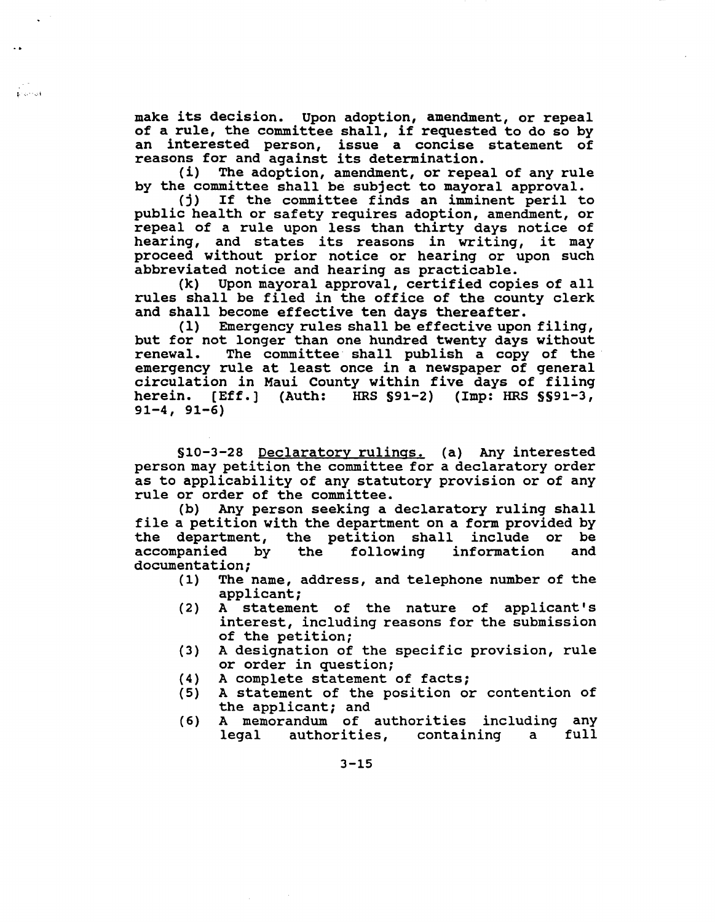make its decision. Upon adoption, amendment, or repeal of <sup>a</sup> rule, the committee shall, if requested to do so by an interested person, issue a concise statement of reasons for and against its determination.<br>(i) The adoption, amendment, or repea

 $\mathbf{r}$  .  $\cdots$  at

The adoption, amendment, or repeal of any rule by the committee shall be subject to mayoral approval.<br>(i) If the committee finds an imminent peril t

If the committee finds an imminent peril to public health or safety requires adoption, amendment, or repeal of <sup>a</sup> rule upon less than thirty days notice of hearing, and states its reasons in writing, it may proceed without prior notice or hearing or upon such abbreviated notice and hearing as practicable.<br>(k) Upon mayoral approval, certified copi

Upon mayoral approval, certified copies of all rules shall be filed in the office of the county clerk and shall become effective ten days thereafter.<br>(1) Emergency rules shall be effective upor

Emergency rules shall be effective upon filing, but for not longer than one hundred twenty days without renewal. The committee shall publish a copy of the The committee shall publish a copy of the emergency rule at least once in <sup>a</sup> newspaper of general circulation in Maui county within five days of filing herein. [Eff.] (Auth: HRS §91-2) (Imp: HRS §§91-3,  $91-4, 91-6)$ 

§10-3-28 Declaratory rUlings. (a) Any interested person may petition the committee for <sup>a</sup> declaratory order as to applicability of any statutory provision or of any rule or order of the committee.

(b) Any person seeking a declaratory ruling shall file a petition with the department on a form provided by<br>the department, the petition shall include or be the department, the petition shall include or be<br>accompanied by the following information and information documentation;

- (1) The name, address, and telephone number of the applicant;
- (2) A statement of the nature of applicant's interest, including reasons for the submission of the petition;
- (3) A designation of the specific provision, rule or order in question;
- 
- (4) A complete statement of facts;<br>(5) A statement of the position or A statement of the position or contention of the applicant; and
- (6) A memorandum of authorities including any<br>legal authorities, containing a full authorities, containing a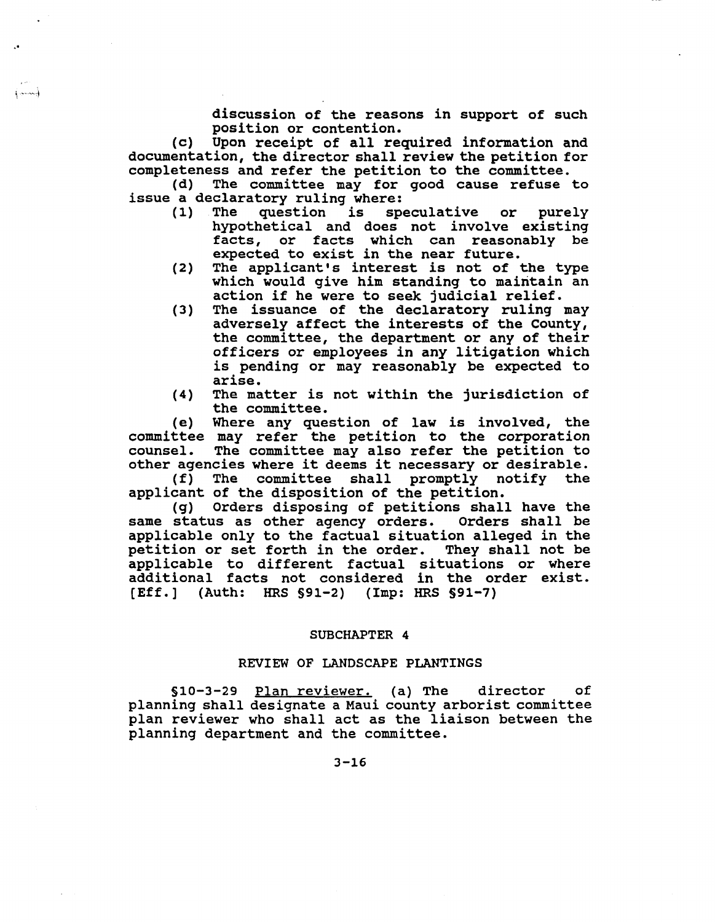discussion of the reasons in support of such position or contention.

(c) Upon receipt of all required information and documentation, the director shall review the petition for completeness and refer the petition to the committee.

.'

إحصينه

The committee may for good cause refuse to issue a declaratory ruling where:<br>(1) The question is sp

- speculative or purely hypothetical and does not involve existing facts, or facts which can reasonably be expected to exist in the near future.
- (2) The applicant's interest is not of the type which would give him standing to maintain an action if he were to seek judicial relief.
- (3) The issuance of the declaratory ruling may adversely affect the interests of the County, the committee, the department or any of their officers or employees in any litigation which is pending or may reasonably be expected to arise.
- (4) The matter is not within the jurisdiction of the committee.

(e) Where any question of law is involved, the committee may refer the petition to the corporation counsel. The committee may also refer the petition to other agencies where it deems it necessary or desirable.

(f) The committee shall promptly notify the applicant of the disposition of the petition.

(g) Orders disposing of petitions shall have the same status as other agency orders. Orders shall be applicable only to the factual situation alleged in the petition or set forth in the order. They shall not be applicable to different factual situations or where additional facts not considered in the order exist. [Eff.] (Auth: HRS §91-2) (Imp: HRS §91-7)

#### SUBCHAPTER 4

# REVIEW OF LANDSCAPE PLANTINGS

§10-3-29 Plan reviewer. (a) The director of planning shall designate a Maui county arborist committee plan reviewer who shall act as the liaison between the planning department and the committee.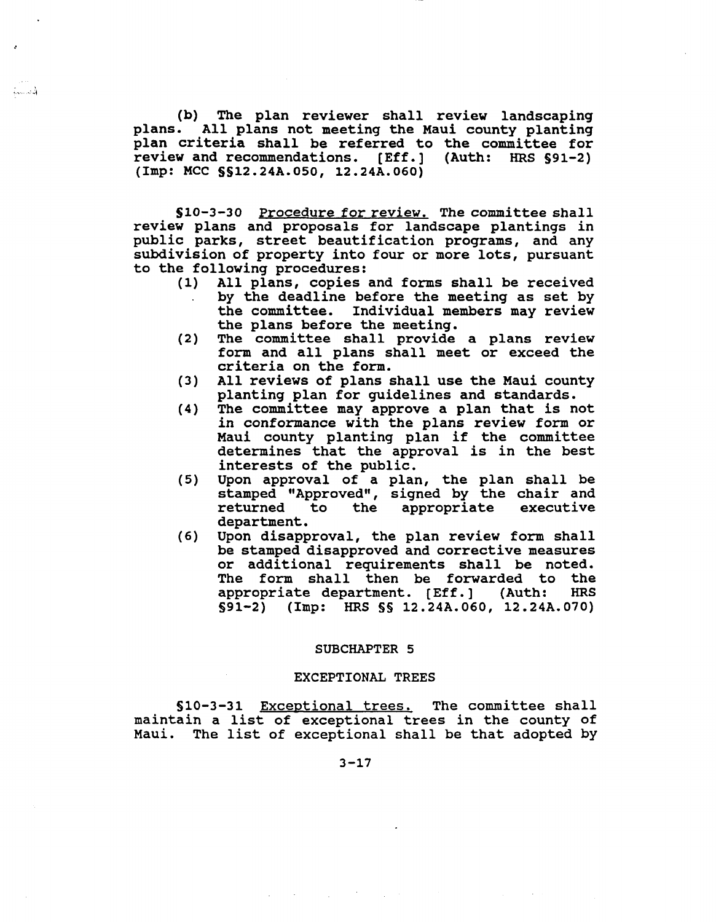(b) The plan reviewer shall review landscaping plans. All plans not meeting the Maui county planting plan criteria shall be referred to the committee for<br>review and recommendations. [Eff.] (Auth: HRS \$91-2) review and recommendations. [Eff.] (Imp: MCC §§12.24A.OSO, 12.24A.060)

فتست

S10-3-30 Procedure for review. The committee shall review plans and proposals for landscape plantings in public parks, street beautification programs, and any subdivision of property into four or more lots, pursuant to the following procedures:<br>(1) All plans, copies

- All plans, copies and forms shall be received by the deadline before the meeting as set by the committee. Individual members may review Individual members may review the plans before the meeting.
- (2) The committee shall provide <sup>a</sup> plans review form and all plans shall meet or exceed the criteria on the form.
- (3) All reviews of plans shall use the Maui county planting plan for guidelines and standards.
- (4) The committee may approve <sup>a</sup> plan that is not in conformance with the plans review form or Maui county planting plan if the committee determines that the approval is in the best interests of the public.
- (5) Upon approval of a plan, the plan shall be stamped "Approved", signed by the chair and<br>returned to the appropriate executive appropriate executive department.
- (6) Upon disapproval, the plan review form shall be stamped disapproved and corrective measures or additional requirements shall be noted. The form shall then be forwarded to the<br>appropriate department. [Eff.] (Auth: HRS appropriate department. [Eff.] (Auth: S91-2) (Imp: HRS §§ 12.24A.060, 12.24A.070)

#### SUBCHAPTER 5

#### EXCEPTIONAL TREES

§10-3-31 Exceptional trees. The committee shall maintain <sup>a</sup> list of exceptional trees in the county of Maui. The list of exceptional shall be that adopted by

 $\mathcal{L}_{\rm{max}}$  and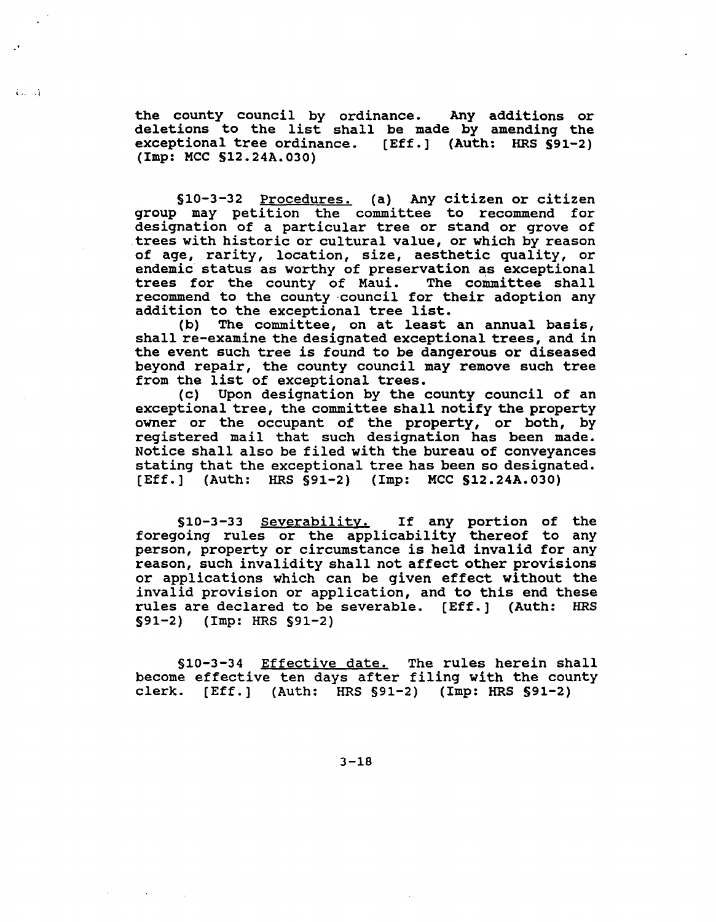the county council by ordinance. Any additions or the county council by ordinance. Any additions or<br>deletions to the list shall be made by amending the exceptional tree ordinance. [Eff.] (Auth: HRS S91-2) (Imp: MCC S12.24A.030)

 $\{...,-n\}$ 

S10-3-32 Procedures. (a) Any citizen or citizen group may petition the committee to recommend for designation of a particular tree or stand or grove of .trees with historic or cultural value, or which by reason of age, rarity, location, size, aesthetic quality, or endemic status as worthy of preservation as exceptional trees for the county of Maui. The committee shall recommend to the county ·council for their adoption any addition to the exceptional tree list.<br>(b) The committee, on at least

The committee, on at least an annual basis, shall re-examine the designated exceptional trees, and in the event such tree is found to be dangerous or diseased beyond repair, the county council may remove such tree from the list of exceptional trees.

(c) Upon designation by the county council of an exceptional tree, the committee shall notify the property owner or the occupant of the property, or both, by registered mail that such designation has been made. Notice shall also be filed with the bureau of conveyances stating that the exceptional tree has been so designated. [Eff.] (Auth: HRS S91-2) (Imp: MCC S12.24A.030)

S10-3-33 Severability. If any portion of the foregoing rules or the applicability thereof to any person, property or circumstance is held invalid for any reason, such invalidity shall not affect other provisions or applications which can be given effect without the invalid provision or application, and to this end these rules are declared to be severable. [Eff.] (Auth: HRS §91-2 ) (Imp: HRS §91-2 )

§10-3-34 Effective date. The rules herein shall become effective ten days after filing with the county clerk. [Eff.] (Auth: HRS §91-2) (Imp: HRS §91-2)

 $3 - 18$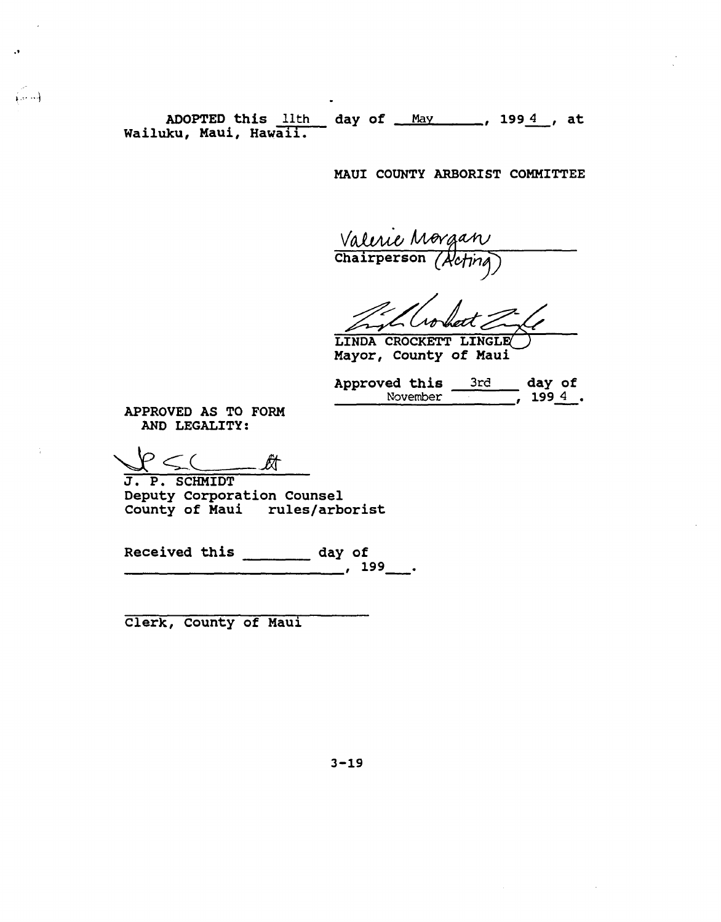ADOPTED this lith ADOPTED this <u>llth and ay of May 1994</u>, at Nailuku, Maui, Hawaii.

MAUl COUNTY ARBORIST COMMITTEE

Valeric Morgan  $\frac{1}{\text{Chairperson}}$  (Actina)

Mayor, County of Maui LINDA CROCKETT LINGLE

| Approved this |          | 3rd | day of |  |
|---------------|----------|-----|--------|--|
|               | November |     | 1994   |  |

APPROVED AS TO FORM AND LEGALITY:

.'

.,... j

 $\forall P\leq C$   $A$ 

J. P. SCHMIDT Deputy Corporation Counsel County of Maui rUles/arborist

Received this  $\frac{day \text{ of}}{199}$ .

Clerk, county of Maui